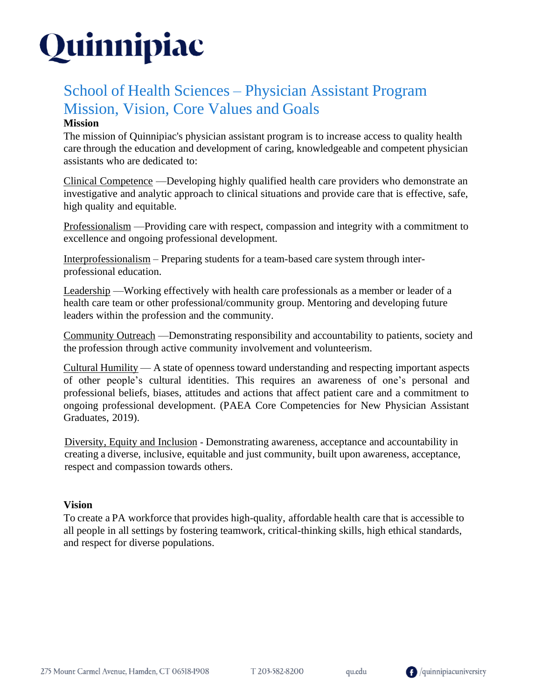# Quinnipiac

## School of Health Sciences – Physician Assistant Program Mission, Vision, Core Values and Goals

### **Mission**

The mission of Quinnipiac's physician assistant program is to increase access to quality health care through the education and development of caring, knowledgeable and competent physician assistants who are dedicated to:

Clinical Competence —Developing highly qualified health care providers who demonstrate an investigative and analytic approach to clinical situations and provide care that is effective, safe, high quality and equitable.

Professionalism —Providing care with respect, compassion and integrity with a commitment to excellence and ongoing professional development.

Interprofessionalism – Preparing students for a team-based care system through interprofessional education.

Leadership —Working effectively with health care professionals as a member or leader of a health care team or other professional/community group. Mentoring and developing future leaders within the profession and the community.

Community Outreach —Demonstrating responsibility and accountability to patients, society and the profession through active community involvement and volunteerism.

Cultural Humility — A state of openness toward understanding and respecting important aspects of other people's cultural identities. This requires an awareness of one's personal and professional beliefs, biases, attitudes and actions that affect patient care and a commitment to ongoing professional development. (PAEA Core Competencies for New Physician Assistant Graduates, 2019).

Diversity, Equity and Inclusion - Demonstrating awareness, acceptance and accountability in creating a diverse, inclusive, equitable and just community, built upon awareness, acceptance, respect and compassion towards others.

### **Vision**

To create a PA workforce that provides high-quality, affordable health care that is accessible to all people in all settings by fostering teamwork, critical-thinking skills, high ethical standards, and respect for diverse populations.

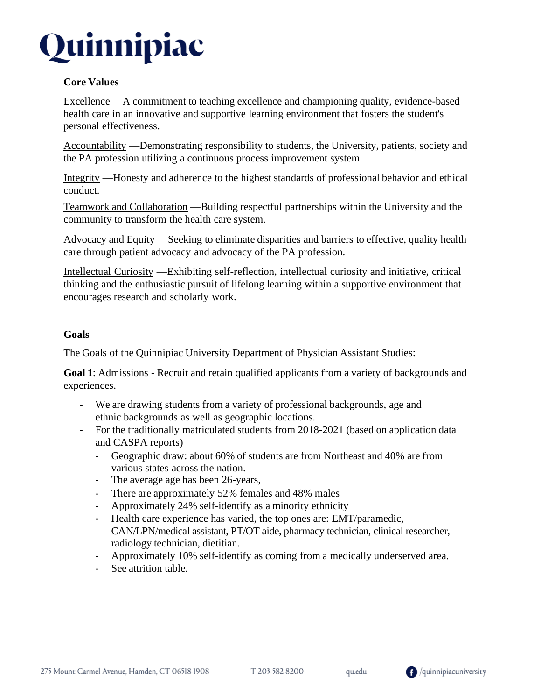

#### **Core Values**

Excellence —A commitment to teaching excellence and championing quality, evidence-based health care in an innovative and supportive learning environment that fosters the student's personal effectiveness.

Accountability —Demonstrating responsibility to students, the University, patients, society and the PA profession utilizing a continuous process improvement system.

Integrity —Honesty and adherence to the highest standards of professional behavior and ethical conduct.

Teamwork and Collaboration —Building respectful partnerships within the University and the community to transform the health care system.

Advocacy and Equity —Seeking to eliminate disparities and barriers to effective, quality health care through patient advocacy and advocacy of the PA profession.

Intellectual Curiosity —Exhibiting self-reflection, intellectual curiosity and initiative, critical thinking and the enthusiastic pursuit of lifelong learning within a supportive environment that encourages research and scholarly work.

#### **Goals**

The Goals of the Quinnipiac University Department of Physician Assistant Studies:

**Goal 1**: Admissions - Recruit and retain qualified applicants from a variety of backgrounds and experiences.

- We are drawing students from a variety of professional backgrounds, age and ethnic backgrounds as well as geographic locations.
- For the traditionally matriculated students from 2018-2021 (based on application data and CASPA reports)
	- Geographic draw: about 60% of students are from Northeast and 40% are from various states across the nation.
	- The average age has been 26-years,
	- There are approximately 52% females and 48% males
	- Approximately 24% self-identify as a minority ethnicity
	- Health care experience has varied, the top ones are: EMT/paramedic, CAN/LPN/medical assistant, PT/OT aide, pharmacy technician, clinical researcher, radiology technician, dietitian.
	- Approximately 10% self-identify as coming from a medically underserved area.
	- See attrition table.

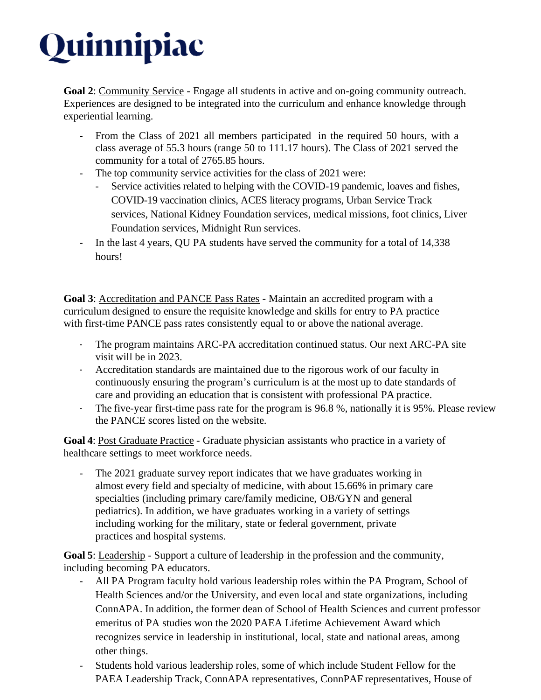# Quinnipiac

**Goal 2**: Community Service - Engage all students in active and on-going community outreach. Experiences are designed to be integrated into the curriculum and enhance knowledge through experiential learning.

- From the Class of 2021 all members participated in the required 50 hours, with a class average of 55.3 hours (range 50 to 111.17 hours). The Class of 2021 served the community for a total of 2765.85 hours.
- The top community service activities for the class of 2021 were:
	- Service activities related to helping with the COVID-19 pandemic, loaves and fishes, COVID-19 vaccination clinics, ACES literacy programs, Urban Service Track services, National Kidney Foundation services, medical missions, foot clinics, Liver Foundation services, Midnight Run services.
- In the last 4 years, QU PA students have served the community for a total of 14,338 hours!

**Goal 3**: Accreditation and PANCE Pass Rates - Maintain an accredited program with a curriculum designed to ensure the requisite knowledge and skills for entry to PA practice with first-time PANCE pass rates consistently equal to or above the national average.

- The program maintains ARC-PA accreditation continued status. Our next ARC-PA site visit will be in 2023.
- Accreditation standards are maintained due to the rigorous work of our faculty in continuously ensuring the program's curriculum is at the most up to date standards of care and providing an education that is consistent with professional PA practice.
- The five-year first-time pass rate for the program is 96.8 %, nationally it is 95%. Please review the PANCE scores listed on the website.

**Goal 4**: Post Graduate Practice - Graduate physician assistants who practice in a variety of healthcare settings to meet workforce needs.

The 2021 graduate survey report indicates that we have graduates working in almost every field and specialty of medicine, with about 15.66% in primary care specialties (including primary care/family medicine, OB/GYN and general pediatrics). In addition, we have graduates working in a variety of settings including working for the military, state or federal government, private practices and hospital systems.

**Goal 5**: Leadership - Support a culture of leadership in the profession and the community, including becoming PA educators.

- All PA Program faculty hold various leadership roles within the PA Program, School of Health Sciences and/or the University, and even local and state organizations, including ConnAPA. In addition, the former dean of School of Health Sciences and current professor emeritus of PA studies won the 2020 PAEA Lifetime Achievement Award which recognizes service in leadership in institutional, local, state and national areas, among other things.
- Students hold various leadership roles, some of which include Student Fellow for the PAEA Leadership Track, ConnAPA representatives, ConnPAF representatives, House of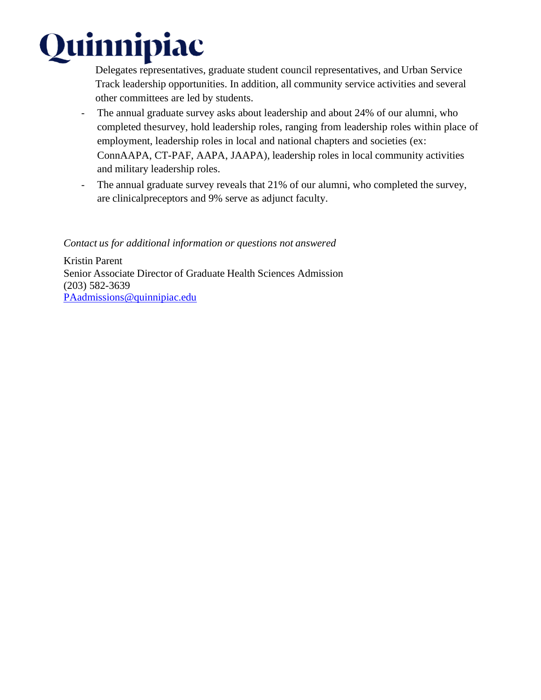

Delegates representatives, graduate student council representatives, and Urban Service Track leadership opportunities. In addition, all community service activities and several other committees are led by students.

- The annual graduate survey asks about leadership and about 24% of our alumni, who completed thesurvey, hold leadership roles, ranging from leadership roles within place of employment, leadership roles in local and national chapters and societies (ex: ConnAAPA, CT-PAF, AAPA, JAAPA), leadership roles in local community activities and military leadership roles.
- The annual graduate survey reveals that 21% of our alumni, who completed the survey, are clinicalpreceptors and 9% serve as adjunct faculty.

#### *Contact us for additional information or questions not answered*

Kristin Parent Senior Associate Director of Graduate Health Sciences Admission (203) 582-3639 [PAadmissions@quinnipiac.edu](mailto:PAadmissions@quinnipiac.edu)